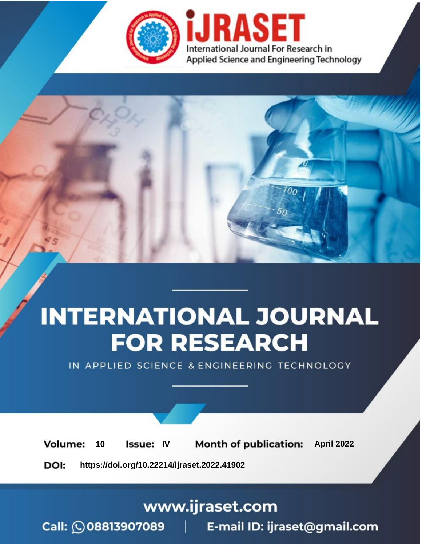

# **INTERNATIONAL JOURNAL FOR RESEARCH**

IN APPLIED SCIENCE & ENGINEERING TECHNOLOGY

10 **Issue: IV Month of publication:** April 2022 **Volume:** 

**https://doi.org/10.22214/ijraset.2022.41902**DOI:

www.ijraset.com

Call: 008813907089 | E-mail ID: ijraset@gmail.com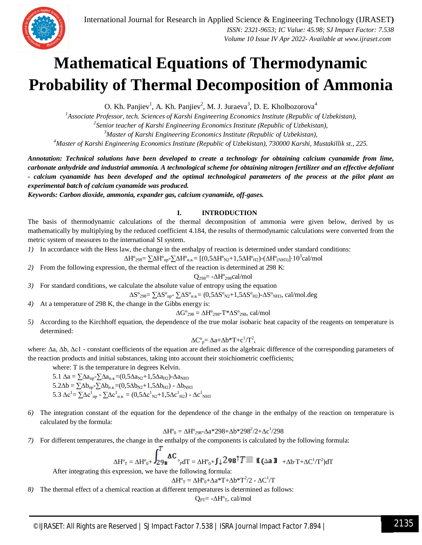

## **Mathematical Equations of Thermodynamic Probability of Thermal Decomposition of Ammonia**

O. Kh. Panjiev<sup>1</sup>, A. Kh. Panjiev<sup>2</sup>, M. J. Juraeva<sup>3</sup>, D. E. Kholbozorova<sup>4</sup>

*Associate Professor, tech. Sciences of Karshi Engineering Economics Institute (Republic of Uzbekistan), Senior teacher of Karshi Engineering Economics Institute (Republic of Uzbekistan), Master of Karshi Engineering Economics Institute (Republic of Uzbekistan), Master of Karshi Engineering Economics Institute (Republic of Uzbekistan), 730000 Karshi, Mustakillik st., 225.*

*Annotation: Technical solutions have been developed to create a technology for obtaining calcium cyanamide from lime, carbonate anhydride and industrial ammonia. A technological scheme for obtaining nitrogen fertilizer and an effective defoliant - calcium cyanamide has been developed and the optimal technological parameters of the process at the pilot plant an experimental batch of calcium cyanamide was produced.*

*Keywords: Carbon dioxide, ammonia, expander gas, calcium cyanamide, off-gases.* 

#### **I. INTRODUCTION**

The basis of thermodynamic calculations of the thermal decomposition of ammonia were given below, derived by us mathematically by multiplying by the reduced coefficient 4.184, the results of thermodynamic calculations were converted from the metric system of measures to the international SI system.

*1)* In accordance with the Hess law, the change in the enthalpy of reaction is determined under standard conditions:

∆Н°<sub>298</sub>= ∑∆Н°<sub>пр</sub>-∑∆Н°<sub>и.в.</sub>= [(0,5∆Н°<sub>N2</sub>+1,5∆Н°<sub>H2</sub>)-(∆Н°<sub>(NH3)</sub>]∙10<sup>3</sup>cal/mol

*2)* From the following expression, the thermal effect of the reaction is determined at 298 K:

$$
Q_{298}\!\!=\!-\Delta H^o{}_{298}cal/mol
$$

- *3)* For standard conditions, we calculate the absolute value of entropy using the equation
- $\Delta S^{\circ}_{298} = \sum \Delta S^{\circ}_{np} \sum \Delta S^{\circ}_{nB} = (0.5 \Delta S^{\circ}_{N2} + 1.5 \Delta S^{\circ}_{H2}) \Delta S^{\circ}_{NH3}$ , cal/mol.deg
- *4)* At a temperature of 298 K, the change in the Gibbs energy is:

$$
\Delta G^{\circ}_{298} = \Delta H^{\circ}_{298} - T^* \Delta S^{\circ}_{298}, \, cal/mol
$$

*5)* According to the Kirchhoff equation, the dependence of the true molar isobaric heat capacity of the reagents on temperature is determined:

$$
\Delta C^o_{\phantom{o}p} \!\!= \Delta a \!+\! \Delta b^* T \!+\! c^1\!/T^2\!,
$$

where: ∆a, ∆b, ∆c1 - constant coefficients of the equation are defined as the algebraic difference of the corresponding parameters of the reaction products and initial substances, taking into account their stoichiometric coefficients;

where: T is the temperature in degrees Kelvin.

5.1  $\Delta$ a =  $\sum$ Δa<sub>πp</sub>- $\sum$ Δa<sub>μ,B</sub>=(0,5 $\Delta$ a<sub>N2</sub>+1,5 $\Delta$ a<sub>H2</sub>)- $\Delta$ a<sub>NH3</sub>  $5.2\Delta b = \sum \Delta b_{\text{np}} - \sum \Delta b_{\text{h.B}} = (0.5\Delta b_{\text{N2}} + 1.5\Delta b_{\text{H2}}) - \Delta b_{\text{NH3}}$ 5.3  $\Delta c^{1}$ =  $\sum \Delta c^{1}$ <sub>пр</sub> -  $\sum \Delta c^{1}{}_{\text{\tiny H.B.}} = (0,5\Delta c^{1}{}_{\text{\tiny N2}}+1,5\Delta c^{1}{}_{\text{\tiny H2}})$  -  $\Delta c^{1}{}_{\text{\tiny NH3}}$ 

*6)* The integration constant of the equation for the dependence of the change in the enthalpy of the reaction on temperature is calculated by the formula:

$$
\Delta H^o_{\ 0} = \Delta H^o_{\ 298}\text{--}\Delta a^{\ast}298\text{+-}\Delta b^{\ast}298^2/2\text{+-}\Delta c^1\text{/}298
$$

*7)* For different temperatures, the change in the enthalpy of the components is calculated by the following formula:

$$
\Delta H^{\circ}{}_{T} = \Delta H^{\circ}{}_{0} + \int_{29}^{T} \Delta C \, \, {\circ}_{p d T} = \Delta H^{\circ}{}_{0} + \int \downarrow 298^{\uparrow} T \equiv \; \text{K} \, (\Delta a \; \text{J} \quad {}_{+ \Delta b \cdot T + \Delta C^{\uparrow} / T^{2}) d T
$$

After integrating this expression, we have the following formula:

 $\Delta H^{\circ}{}_{T} = \Delta H^{\circ}{}_{0} + \Delta a^* T + \Delta b^* T^2 / 2 - \Delta C^1 / T$ 

*8)* The thermal effect of a chemical reaction at different temperatures is determined as follows:

 $Q_{PT}$ = - $\Delta H^{\circ}_{T}$ , cal/mol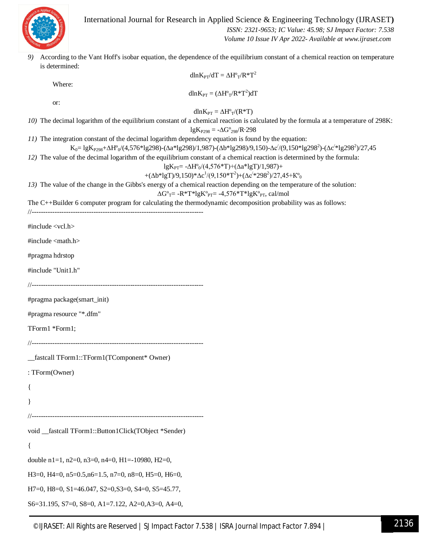

 *ISSN: 2321-9653; IC Value: 45.98; SJ Impact Factor: 7.538 Volume 10 Issue IV Apr 2022- Available at www.ijraset.com*

*9)* According to the Vant Hoff's isobar equation, the dependence of the equilibrium constant of a chemical reaction on temperature is determined:

| $dln K_{PT}/dT = \Delta H^{\circ}_{T}/R^{\ast}T^{2}$                                                                                                                                                                                                                     |
|--------------------------------------------------------------------------------------------------------------------------------------------------------------------------------------------------------------------------------------------------------------------------|
| Where:                                                                                                                                                                                                                                                                   |
| dln $K_{PT} = (\Delta H^{\circ}{}_T/R^*T^2)dT$                                                                                                                                                                                                                           |
| or:<br>$dln K_{PT} = \Delta H^{\circ}{}_{T}/(R^{*}T)$                                                                                                                                                                                                                    |
| 10) The decimal logarithm of the equilibrium constant of a chemical reaction is calculated by the formula at a temperature of 298K:<br>$lg K_{P298} = -\Delta G^{\circ}_{298} / R \cdot 298$                                                                             |
| 11) The integration constant of the decimal logarithm dependency equation is found by the equation:                                                                                                                                                                      |
| $K_0=1gK_{P298}+\Delta H^o/(4,576*lg298)-(\Delta a*lg298)/1,987)-(\Delta b*lg298)/9,150)-\Delta c'/(9,150*lg298^2)-(\Delta c'*lg298^2)/27,45$<br>12) The value of the decimal logarithm of the equilibrium constant of a chemical reaction is determined by the formula: |
| lgK <sub>PT</sub> = - $\Delta H^{o}_{0}$ /(4,576*T)+( $\Delta a$ *lgT)/1,987)+                                                                                                                                                                                           |
| +( $\Delta b^*$ lgT)/9,150)* $\Delta c^1$ /(9,150*T <sup>2</sup> )+( $\Delta c^4$ 298 <sup>2</sup> )/27,45+K° <sub>0</sub>                                                                                                                                               |
| 13) The value of the change in the Gibbs's energy of a chemical reaction depending on the temperature of the solution:<br>$\Delta G^{\circ}$ <sub>T</sub> = -R*T*lgK° <sub>PT</sub> = -4,576*T*lgK° <sub>PT</sub> , cal/mol                                              |
| The C++Builder 6 computer program for calculating the thermodynamic decomposition probability was as follows:                                                                                                                                                            |
|                                                                                                                                                                                                                                                                          |
| #include <vcl.h></vcl.h>                                                                                                                                                                                                                                                 |
| #include <math.h></math.h>                                                                                                                                                                                                                                               |
| #pragma hdrstop                                                                                                                                                                                                                                                          |
| #include "Unit1.h"                                                                                                                                                                                                                                                       |
|                                                                                                                                                                                                                                                                          |
| #pragma package(smart_init)                                                                                                                                                                                                                                              |
| #pragma resource "*.dfm"                                                                                                                                                                                                                                                 |
| TForm1 *Form1;                                                                                                                                                                                                                                                           |
|                                                                                                                                                                                                                                                                          |
| _fastcall TForm1::TForm1(TComponent* Owner)                                                                                                                                                                                                                              |
| : TForm(Owner)                                                                                                                                                                                                                                                           |
|                                                                                                                                                                                                                                                                          |
|                                                                                                                                                                                                                                                                          |
|                                                                                                                                                                                                                                                                          |
| void _fastcall TForm1::Button1Click(TObject *Sender)                                                                                                                                                                                                                     |
| $\{$                                                                                                                                                                                                                                                                     |
| double n1=1, n2=0, n3=0, n4=0, H1=-10980, H2=0,                                                                                                                                                                                                                          |
| H3=0, H4=0, $n5=0.5$ , $n6=1.5$ , $n7=0$ , $n8=0$ , H5=0, H6=0,                                                                                                                                                                                                          |
| $H7=0$ , $H8=0$ , $S1=46.047$ , $S2=0$ , $S3=0$ , $S4=0$ , $S5=45.77$ ,                                                                                                                                                                                                  |
| S6=31.195, S7=0, S8=0, A1=7.122, A2=0, A3=0, A4=0,                                                                                                                                                                                                                       |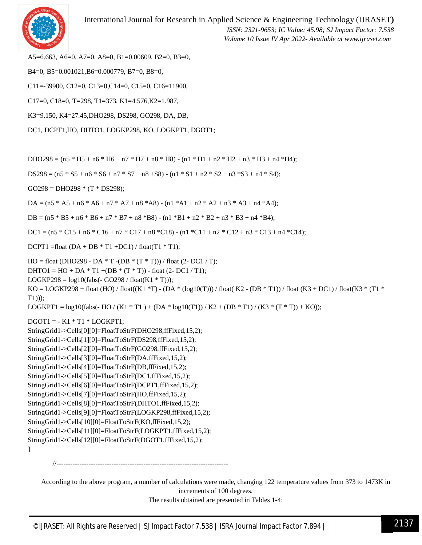

International Journal for Research in Applied Science & Engineering Technology (IJRASET**)**  *ISSN: 2321-9653; IC Value: 45.98; SJ Impact Factor: 7.538 Volume 10 Issue IV Apr 2022- Available at www.ijraset.com*

A5=6.663, A6=0, A7=0, A8=0, B1=0.00609, B2=0, B3=0,

B4=0, B5=0.001021,B6=0.000779, B7=0, B8=0,

C11=-39900, C12=0, C13=0,C14=0, C15=0, C16=11900,

C17=0, C18=0, T=298, T1=373, K1=4.576,K2=1.987,

K3=9.150, K4=27.45,DHO298, DS298, GO298, DA, DB,

DC1, DCPT1,HO, DHTO1, LOGKP298, KO, LOGKPT1, DGOT1;

DHO298 =  $(n5 * H5 + n6 * H6 + n7 * H7 + n8 * H8) - (n1 * H1 + n2 * H2 + n3 * H3 + n4 * H4);$ 

 $DS298 = (n5 * S5 + n6 * S6 + n7 * S7 + n8 + S8) - (n1 * S1 + n2 * S2 + n3 * S3 + n4 * S4);$ 

 $GO298 = DHO298 * (T * DS298);$ 

DA =  $(n5 * A5 + n6 * A6 + n7 * A7 + n8 * A8) - (n1 * A1 + n2 * A2 + n3 * A3 + n4 * A4);$ 

 $DB = (n5 * B5 + n6 * B6 + n7 * B7 + n8 * B8) - (n1 * B1 + n2 * B2 + n3 * B3 + n4 * B4);$ 

 $DC1 = (n5 * C15 + n6 * C16 + n7 * C17 + n8 * C18) - (n1 * C11 + n2 * C12 + n3 * C13 + n4 * C14);$ 

DCPT1 =float  $(DA + DB * T1 + DC1) / f$ loat $(T1 * T1)$ ;

 $HO = float (DHO298 - DA * T -(DB * (T * T))) / float (2-DC1 / T);$ 

DHTO1 = HO + DA  $*$  T1 +(DB  $*$  (T  $*$  T)) - float (2- DC1 / T1);

LOGKP298 =  $log10(fabs(-GO298 / float(K1 * T)));$ 

 $KO = LOGKP298 + float (HO) / float(K1 *T) - (DA * (log 10(T))) / float(K2 - (DB * T1)) / float(K3 + DC1) / float(K3 * (T1 * T1))$ T1)));

LOGKPT1 =  $log10(fabs(- HO / (K1 * T1) + (DA * log10(T1))/K2 + (DB * T1) / (K3 * (T * T)) + KO));$ 

 $DGOT1 = -K1 * T1 * LOGKPT1;$ 

StringGrid1->Cells[0][0]=FloatToStrF(DHO298,ffFixed,15,2);

StringGrid1->Cells[1][0]=FloatToStrF(DS298,ffFixed,15,2);

StringGrid1->Cells[2][0]=FloatToStrF(GO298,ffFixed,15,2);

StringGrid1->Cells[3][0]=FloatToStrF(DA,ffFixed,15,2);

StringGrid1->Cells[4][0]=FloatToStrF(DB,ffFixed,15,2);

StringGrid1->Cells[5][0]=FloatToStrF(DC1,ffFixed,15,2);

StringGrid1->Cells[6][0]=FloatToStrF(DCPT1,ffFixed,15,2);

StringGrid1->Cells[7][0]=FloatToStrF(HO,ffFixed,15,2);

StringGrid1->Cells[8][0]=FloatToStrF(DHTO1,ffFixed,15,2);

StringGrid1->Cells[9][0]=FloatToStrF(LOGKP298,ffFixed,15,2);

StringGrid1->Cells[10][0]=FloatToStrF(KO,ffFixed,15,2);

StringGrid1->Cells[11][0]=FloatToStrF(LOGKPT1,ffFixed,15,2);

StringGrid1->Cells[12][0]=FloatToStrF(DGOT1,ffFixed,15,2);

}

//---------------------------------------------------------------------------

According to the above program, a number of calculations were made, changing 122 temperature values from 373 to 1473K in increments of 100 degrees.

The results obtained are presented in Tables 1-4: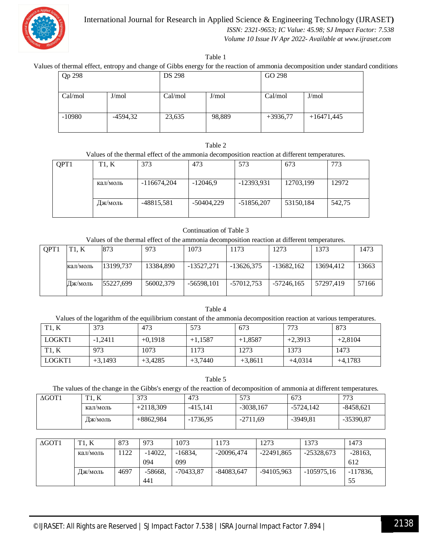

 *ISSN: 2321-9653; IC Value: 45.98; SJ Impact Factor: 7.538*

 *Volume 10 Issue IV Apr 2022- Available at www.ijraset.com*

Table 1

Values of thermal effect, entropy and change of Gibbs energy for the reaction of ammonia decomposition under standard conditions

| Qp 298           |            | <b>DS 298</b>    |        | GO 298           |              |  |
|------------------|------------|------------------|--------|------------------|--------------|--|
| Cal/mol<br>J/mol |            | Cal/mol<br>J/mol |        | Cal/mol<br>J/mol |              |  |
| $-10980$         | $-4594,32$ | 23,635           | 98,889 | $+3936,77$       | $+16471,445$ |  |

#### Таble 2

Values of the thermal effect of the ammonia decomposition reaction at different temperatures.

| QPT1 | T1, K    | 373           | 473          | 573          | 673       | 773    |
|------|----------|---------------|--------------|--------------|-----------|--------|
|      | кал/моль | $-116674,204$ | $-12046,9$   | $-12393,931$ | 12703,199 | 12972  |
|      | Дж/моль  | -48815,581    | $-50404.229$ | $-51856,207$ | 53150,184 | 542.75 |

#### Continuation of Table 3

Values of the thermal effect of the ammonia decomposition reaction at different temperatures.

| OPT <sub>1</sub> | TT1. K   | 873       | 973       | 1073         | 1173         | 1273         | 1373      | 1473  |
|------------------|----------|-----------|-----------|--------------|--------------|--------------|-----------|-------|
|                  | кал/моль | 13199.737 | 13384.890 | -13527,271   | -13626.375   | $-13682,162$ | 13694.412 | 13663 |
|                  | Дж/моль  | 55227.699 | 56002,379 | $-56598,101$ | $-57012,753$ | -57246,165   | 57297.419 | 57166 |

#### Table 4

Values of the logarithm of the equilibrium constant of the ammonia decomposition reaction at various temperatures.

| T1. K  | 373       | 473       | 573       | 673       | 773       | 873       |
|--------|-----------|-----------|-----------|-----------|-----------|-----------|
| LOGKT1 | $-1,2411$ | $+0.1918$ | $+1,1587$ | $+1,8587$ | $+2,3913$ | $+2,8104$ |
| T1. K  | 973       | 1073      | 1173      | 1273      | 1373      | 1473      |
| LOGKT1 | $+3,1493$ | $+3.4285$ | $+3,7440$ | $+3,8611$ | $+4.0314$ | $+4,1783$ |

Table 5

The values of the change in the Gibbs's energy of the reaction of decomposition of ammonia at different temperatures.

| $\Delta$ GOT1 | $\boldsymbol{V}$<br>TT1<br>11. IX | 373         | 473        | 573         | 673        | 772<br>75   |
|---------------|-----------------------------------|-------------|------------|-------------|------------|-------------|
|               | кал/моль                          | $+2118.309$ | -415.141   | $-3038,167$ | -5724.142  | $-8458,621$ |
|               | Дж/моль                           | $+8862.984$ | $-1736.95$ | -2711,69    | $-3949,81$ | $-35390,87$ |

| $\Delta$ GOT1 | T1. K    | 873  | 973       | 1073        | 1173         | 1273         | 1373         | 1473       |
|---------------|----------|------|-----------|-------------|--------------|--------------|--------------|------------|
|               | кал/моль | 122  | $-14022.$ | $-16834.$   | $-20096,474$ | $-22491,865$ | $-25328,673$ | $-28163,$  |
|               |          |      | 094       | 099         |              |              |              | 612        |
|               | Дж/моль  | 4697 | $-58668.$ | $-70433.87$ | $-84083.647$ | $-94105.963$ | $-105975,16$ | $-117836,$ |
|               |          |      | 441       |             |              |              |              | 55         |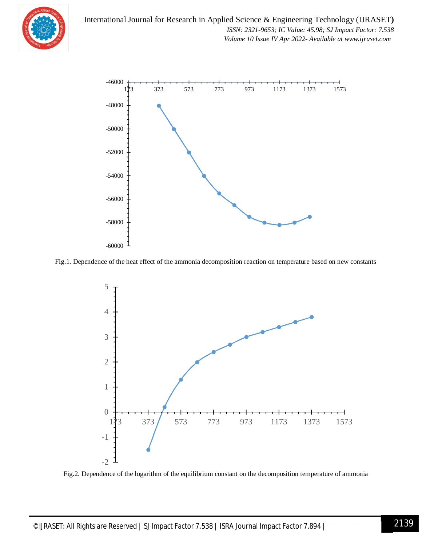



Fig.1. Dependence of the heat effect of the ammonia decomposition reaction on temperature based on new constants



Fig.2. Dependence of the logarithm of the equilibrium constant on the decomposition temperature of ammonia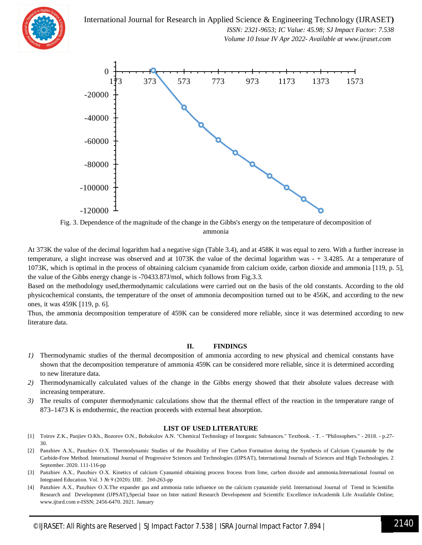

 *ISSN: 2321-9653; IC Value: 45.98; SJ Impact Factor: 7.538 Volume 10 Issue IV Apr 2022- Available at www.ijraset.com*



Fig. 3. Dependence of the magnitude of the change in the Gibbs's energy on the temperature of decomposition of ammonia

At 373K the value of the decimal logarithm had a negative sign (Table 3.4), and at 458K it was equal to zero. With a further increase in temperature, a slight increase was observed and at 1073K the value of the decimal logarithm was - + 3.4285. At a temperature of 1073K, which is optimal in the process of obtaining calcium cyanamide from calcium oxide, carbon dioxide and ammonia [119, p. 5], the value of the Gibbs energy change is -70433.87J/mol, which follows from Fig.3.3.

Based on the methodology used,thermodynamic calculations were carried out on the basis of the old constants. According to the old physicochemical constants, the temperature of the onset of ammonia decomposition turned out to be 456K, and according to the new ones, it was 459K [119, p. 6].

Thus, the ammonia decomposition temperature of 459K can be considered more reliable, since it was determined according to new literature data.

#### **II. FINDINGS**

- *1)* Thermodynamic studies of the thermal decomposition of ammonia according to new physical and chemical constants have shown that the decomposition temperature of ammonia 459K can be considered more reliable, since it is determined according to new literature data.
- *2)* Thermodynamically calculated values of the change in the Gibbs energy showed that their absolute values decrease with increasing temperature.
- *3)* The results of computer thermodynamic calculations show that the thermal effect of the reaction in the temperature range of 873–1473 K is endothermic, the reaction proceeds with external heat absorption.

#### **LIST OF USED LITERATURE**

- [1] Toirov Z.K., Panjiev O.Kh., Bozorov O.N., Bobokulov A.N. "Chemical Technology of Inorganic Substances." Textbook. T. "Philosophers." 2018. p.27- 30.
- [2] Panzhiev A.Х., Panzhiev O.Х. Thermodynamic Studies of the Possibility of Free Carbon Formation during the Synthesis of Calcium Cyanamide by the Carbide-Free Method. International Journal of Progressive Sciences and Technologies (IJPSAT), International Journals of Sciences and High Technologies. 2 September. 2020. 111-116-pp
- [3] Panzhiev A.X., Panzhiev O.X. Kinetics of calcium Cyanamid obtaining process frocess from lime, carbon dioxide and ammonia.International Journal on Integrated Education. Vol. 3 № 9 (2020): IJIE. 260-263-pp
- [4] Panzhiev A.Х., Panzhiev O.Х.The expander gas and ammonia ratio infiuence on the calcium cyanamide yield. International Journal of Trend in Scientifin Research and Development (IJPSAT),Special Issue on Inter nationl Research Development and Scientific Excellence inAcademik Life Available Online; www.ijtsrd.com e-ISSN; 2456-6470. 2021. January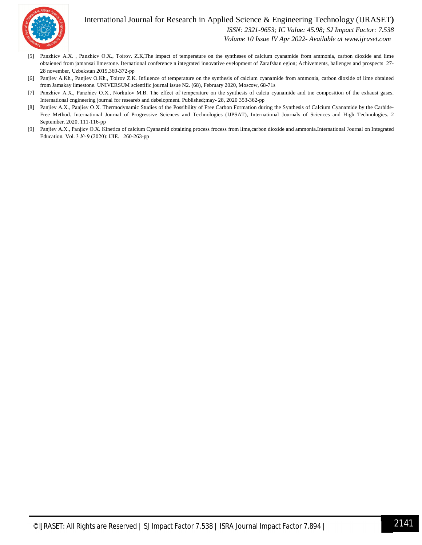

 *ISSN: 2321-9653; IC Value: 45.98; SJ Impact Factor: 7.538*

 *Volume 10 Issue IV Apr 2022- Available at www.ijraset.com*

- [5] Panzhiev A.X., Panzhiev O.X., Toirov. Z.K,The impact of temperature on the syntheses of calcium cyanamide from ammonia, carbon dioxide and lime obtaiened from jamansai limestone. Iternational conference n integrated innovative evelopment of Zarafshan egion; Achivements, hallenges and prospects 27- 28 november, Uzbekstan 2019,369-372-рр
- [6] Panjiev A.Kh., Panjiev O.Kh., Toirov Z.K. Influence of temperature on the synthesis of calcium cyanamide from ammonia, carbon dioxide of lime obtained from Jamakay limestone. UNIVERSUM scientific journal issue N2. (68), February 2020, Moscow, 68-71s
- [7] Panzhiev A.X., Panzhiev O.X., Norkulov M.B. The effect of temperature on the synthesis of calciu cyanamide and tne composition of the exhaust gases. International cngineering journal for researeb and debelopment. Published;may- 28, 2020 353-362-pp
- [8] Panjiev A.X., Panjiev O.X. Thermodynamic Studies of the Possibility of Free Carbon Formation during the Synthesis of Calcium Cyanamide by the Carbide-Free Method. International Journal of Progressive Sciences and Technologies (IJPSAT), International Journals of Sciences and High Technologies. 2 September. 2020. 111-116-pp
- [9] Panjiev A.Х., Panjiev O.Х. Kinetics of calcium Cyanamid obtaining process frocess from lime,carbon dioxide and ammonia.International Journal on Integrated Education. Vol. 3 № 9 (2020): IJIE. 260-263-pp